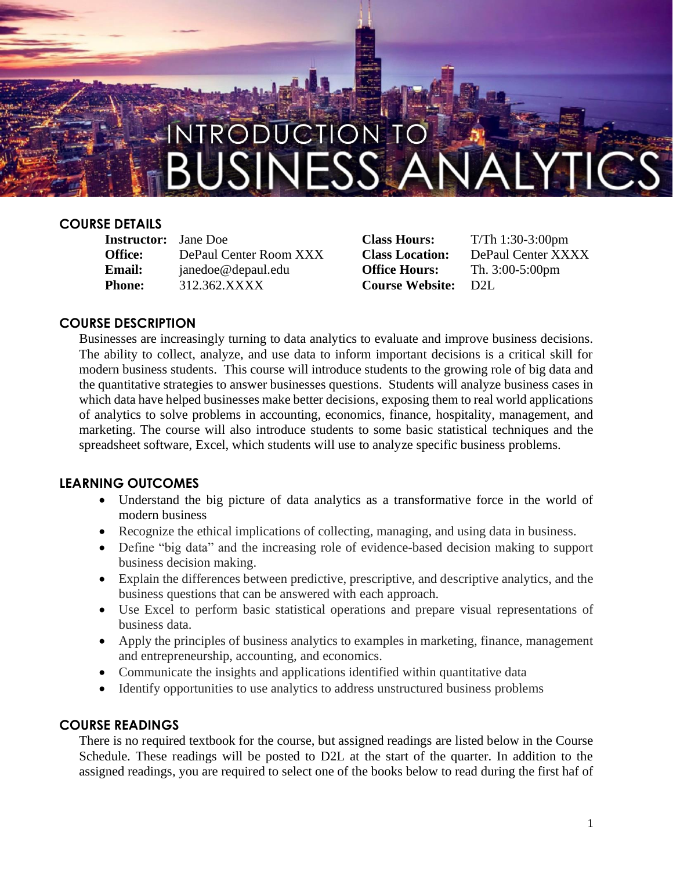

#### **COURSE DETAILS**

**Instructor:** Jane Doe **Class Hours:** T/Th 1:30-3:00pm **Office:** DePaul Center Room XXX **Class Location:** DePaul Center XXXX **Email:** janedoe@depaul.edu **Office Hours:** Th. 3:00-5:00pm **Phone:** 312.362.XXXX **Course Website:** D2L

#### **COURSE DESCRIPTION**

Businesses are increasingly turning to data analytics to evaluate and improve business decisions. The ability to collect, analyze, and use data to inform important decisions is a critical skill for modern business students. This course will introduce students to the growing role of big data and the quantitative strategies to answer businesses questions. Students will analyze business cases in which data have helped businesses make better decisions, exposing them to real world applications of analytics to solve problems in accounting, economics, finance, hospitality, management, and marketing. The course will also introduce students to some basic statistical techniques and the spreadsheet software, Excel, which students will use to analyze specific business problems.

#### **LEARNING OUTCOMES**

- Understand the big picture of data analytics as a transformative force in the world of modern business
- Recognize the ethical implications of collecting, managing, and using data in business.
- Define "big data" and the increasing role of evidence-based decision making to support business decision making.
- Explain the differences between predictive, prescriptive, and descriptive analytics, and the business questions that can be answered with each approach.
- Use Excel to perform basic statistical operations and prepare visual representations of business data.
- Apply the principles of business analytics to examples in marketing, finance, management and entrepreneurship, accounting, and economics.
- Communicate the insights and applications identified within quantitative data
- Identify opportunities to use analytics to address unstructured business problems

#### **COURSE READINGS**

There is no required textbook for the course, but assigned readings are listed below in the Course Schedule. These readings will be posted to D2L at the start of the quarter. In addition to the assigned readings, you are required to select one of the books below to read during the first haf of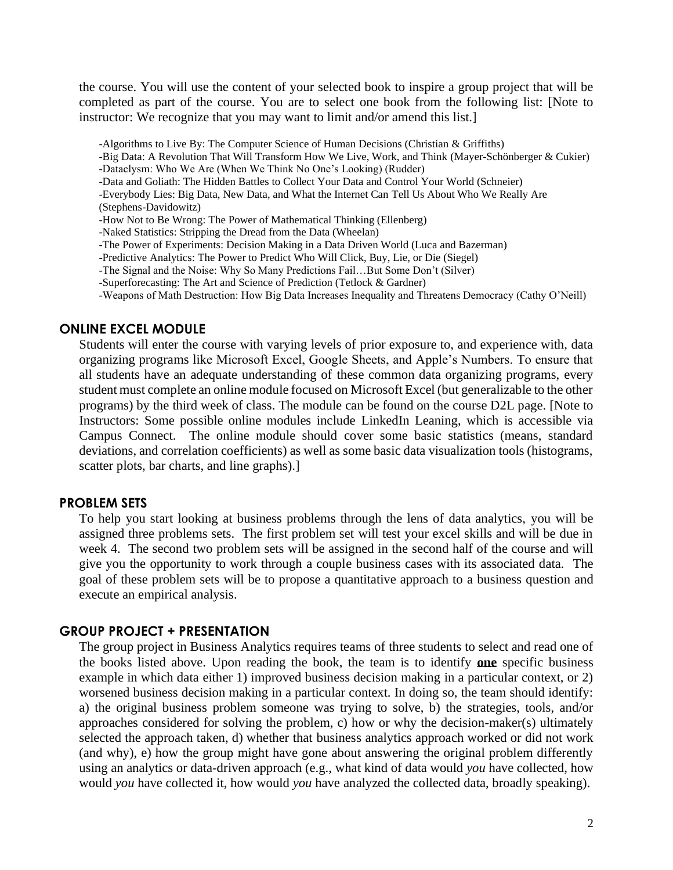the course. You will use the content of your selected book to inspire a group project that will be completed as part of the course. You are to select one book from the following list: [Note to instructor: We recognize that you may want to limit and/or amend this list.]

-Algorithms to Live By: The Computer Science of Human Decisions (Christian & Griffiths)

- -Big Data: A Revolution That Will Transform How We Live, Work, and Think (Mayer-Schönberger & Cukier) -Dataclysm: Who We Are (When We Think No One's Looking) (Rudder)
- -Data and Goliath: The Hidden Battles to Collect Your Data and Control Your World (Schneier)
- -Everybody Lies: Big Data, New Data, and What the Internet Can Tell Us About Who We Really Are

(Stephens-Davidowitz)

-How Not to Be Wrong: The Power of Mathematical Thinking (Ellenberg)

-Naked Statistics: Stripping the Dread from the Data (Wheelan)

- -The Power of Experiments: Decision Making in a Data Driven World (Luca and Bazerman)
- -Predictive Analytics: The Power to Predict Who Will Click, Buy, Lie, or Die (Siegel)
- -The Signal and the Noise: Why So Many Predictions Fail…But Some Don't (Silver)
- -Superforecasting: The Art and Science of Prediction (Tetlock & Gardner)

-Weapons of Math Destruction: How Big Data Increases Inequality and Threatens Democracy (Cathy O'Neill)

#### **ONLINE EXCEL MODULE**

Students will enter the course with varying levels of prior exposure to, and experience with, data organizing programs like Microsoft Excel, Google Sheets, and Apple's Numbers. To ensure that all students have an adequate understanding of these common data organizing programs, every student must complete an online module focused on Microsoft Excel (but generalizable to the other programs) by the third week of class. The module can be found on the course D2L page. [Note to Instructors: Some possible online modules include LinkedIn Leaning, which is accessible via Campus Connect. The online module should cover some basic statistics (means, standard deviations, and correlation coefficients) as well as some basic data visualization tools (histograms, scatter plots, bar charts, and line graphs).]

#### **PROBLEM SETS**

To help you start looking at business problems through the lens of data analytics, you will be assigned three problems sets. The first problem set will test your excel skills and will be due in week 4. The second two problem sets will be assigned in the second half of the course and will give you the opportunity to work through a couple business cases with its associated data. The goal of these problem sets will be to propose a quantitative approach to a business question and execute an empirical analysis.

#### **GROUP PROJECT + PRESENTATION**

The group project in Business Analytics requires teams of three students to select and read one of the books listed above. Upon reading the book, the team is to identify **one** specific business example in which data either 1) improved business decision making in a particular context, or 2) worsened business decision making in a particular context. In doing so, the team should identify: a) the original business problem someone was trying to solve, b) the strategies, tools, and/or approaches considered for solving the problem, c) how or why the decision-maker(s) ultimately selected the approach taken, d) whether that business analytics approach worked or did not work (and why), e) how the group might have gone about answering the original problem differently using an analytics or data-driven approach (e.g., what kind of data would *you* have collected, how would *you* have collected it, how would *you* have analyzed the collected data, broadly speaking).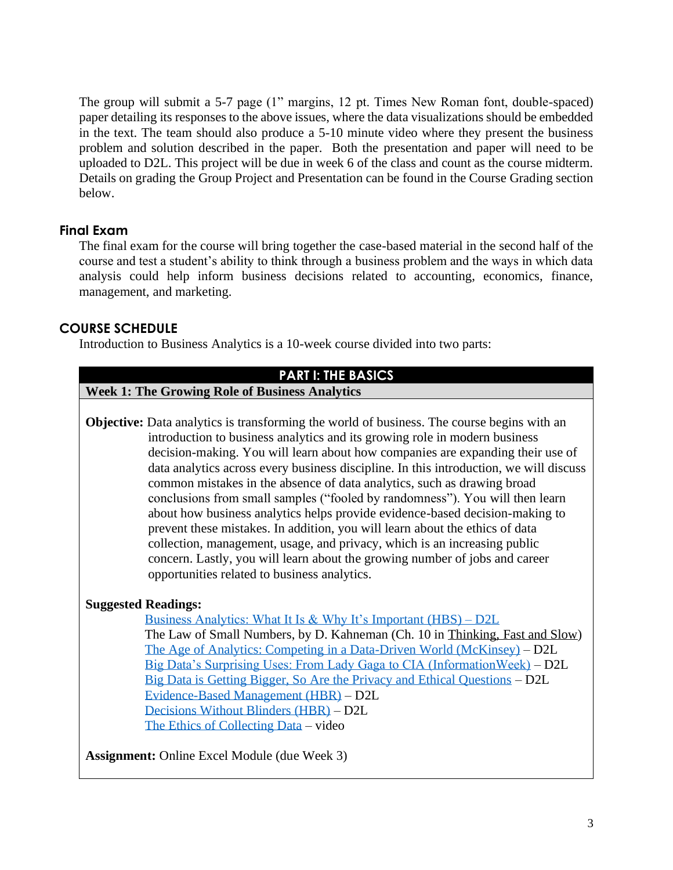The group will submit a 5-7 page (1" margins, 12 pt. Times New Roman font, double-spaced) paper detailing its responses to the above issues, where the data visualizations should be embedded in the text. The team should also produce a 5-10 minute video where they present the business problem and solution described in the paper. Both the presentation and paper will need to be uploaded to D2L. This project will be due in week 6 of the class and count as the course midterm. Details on grading the Group Project and Presentation can be found in the Course Grading section below.

# **Final Exam**

The final exam for the course will bring together the case-based material in the second half of the course and test a student's ability to think through a business problem and the ways in which data analysis could help inform business decisions related to accounting, economics, finance, management, and marketing.

## **COURSE SCHEDULE**

Introduction to Business Analytics is a 10-week course divided into two parts:

#### **PART I: THE BASICS**

**Week 1: The Growing Role of Business Analytics**

**Objective:** Data analytics is transforming the world of business. The course begins with an introduction to business analytics and its growing role in modern business decision-making. You will learn about how companies are expanding their use of data analytics across every business discipline. In this introduction, we will discuss common mistakes in the absence of data analytics, such as drawing broad conclusions from small samples ("fooled by randomness"). You will then learn about how business analytics helps provide evidence-based decision-making to prevent these mistakes. In addition, you will learn about the ethics of data collection, management, usage, and privacy, which is an increasing public concern. Lastly, you will learn about the growing number of jobs and career opportunities related to business analytics.

# **Suggested Readings:**

[Business Analytics: What It Is & Why It's Important \(HBS\) –](https://online.hbs.edu/blog/post/importance-of-business-analytics) D2L The Law of Small Numbers, by D. Kahneman (Ch. 10 in Thinking, Fast and Slow) [The Age of Analytics: Competing in a Data-Driven World \(McKinsey\)](https://www.mckinsey.com/business-functions/mckinsey-analytics/our-insights/the-age-of-analytics-competing-in-a-data-driven-world) – D2L [Big Data's Surprising Uses: From Lady Gaga to CIA \(InformationWeek\)](http://www.informationweek.com/big-data/big-data-analytics/big-datas-surprising-uses-from-lady-gaga-to-cia/d/d-id/1107763) – D2L [Big Data is Getting Bigger, So Are the Privacy and Ethical Questions](https://www.chronicle.com/article/Big-Data-Is-Getting-Bigger-So/244099) – D2L [Evidence-Based Management \(HBR\)](https://hbr.org/2006/01/evidence-based-management) – D2L [Decisions Without Blinders \(HBR\)](https://hbr.org/2006/01/decisions-without-blinders) – D2L [The Ethics of Collecting Data](https://www.youtube.com/watch?v=8JLzs_xVKxY) – video

**Assignment:** Online Excel Module (due Week 3)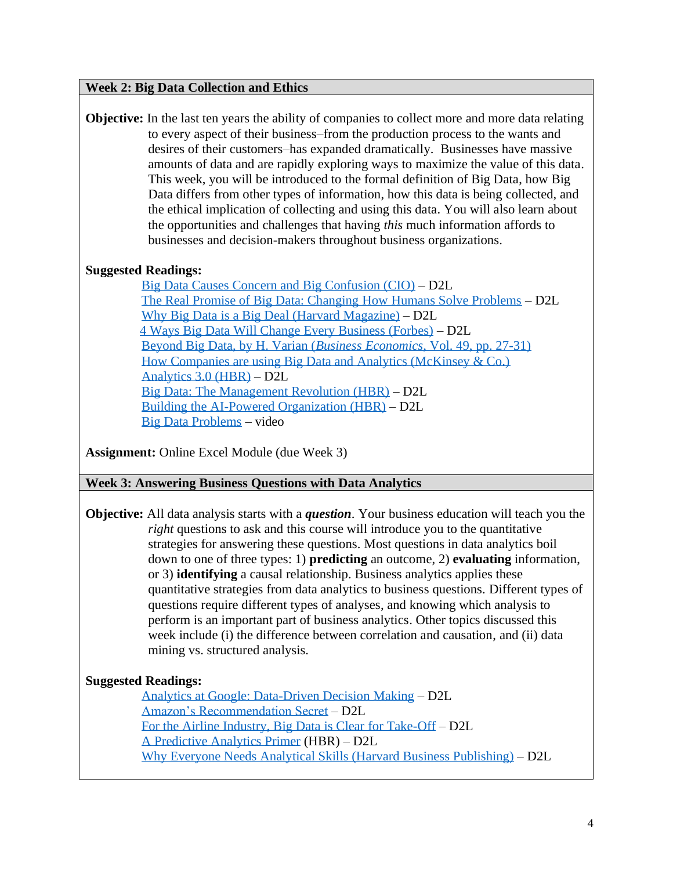#### **Week 2: Big Data Collection and Ethics**

**Objective:** In the last ten years the ability of companies to collect more and more data relating to every aspect of their business–from the production process to the wants and desires of their customers–has expanded dramatically. Businesses have massive amounts of data and are rapidly exploring ways to maximize the value of this data. This week, you will be introduced to the formal definition of Big Data, how Big Data differs from other types of information, how this data is being collected, and the ethical implication of collecting and using this data. You will also learn about the opportunities and challenges that having *this* much information affords to businesses and decision-makers throughout business organizations.

## **Suggested Readings:**

 [Big Data Causes Concern and Big Confusion \(CIO\)](https://www.cio.com/article/2399015/big-data-causes-concern-and-big-confusion.html) – D2L [The Real Promise of Big Data: Changing How Humans Solve Problems](https://venturebeat.com/2014/02/09/the-real-promise-of-big-data-its-changing-the-whole-way-humans-will-solve-problems/) – D2L [Why Big Data is a Big Deal \(Harvard Magazine\)](https://harvardmagazine.com/2014/03/why-big-data-is-a-big-deal) – D2L [4 Ways Big Data Will Change Every Business \(Forbes\)](https://www.forbes.com/sites/bernardmarr/2015/09/08/4-ways-big-data-will-change-every-business/#5023eb2a2729) – D2L [Beyond Big Data, by H. Varian \(](http://people.ischool.berkeley.edu/~hal/Papers/2013/BeyondBigDataPaperFINAL.pdf)*Business Economics*, Vol. 49, pp. 27-31) [How Companies are using Big Data and Analytics \(McKinsey & Co.\)](https://www.mckinsey.com/business-functions/mckinsey-analytics/our-insights/how-companies-are-using-big-data-and-analytics) [Analytics 3.0 \(HBR\)](https://hbr.org/2013/12/analytics-30) – D2L [Big Data: The Management Revolution \(HBR\)](https://hbr.org/2012/10/big-data-the-management-revolution) – D2L [Building the AI-Powered Organization \(HBR\)](https://hbr.org/2019/07/building-the-ai-powered-organization) – D2L [Big Data Problems](https://www.youtube.com/watch?v=Im3GkAYUivE) – video

**Assignment:** Online Excel Module (due Week 3)

**Week 3: Answering Business Questions with Data Analytics**

**Objective:** All data analysis starts with a *question*. Your business education will teach you the *right* questions to ask and this course will introduce you to the quantitative strategies for answering these questions. Most questions in data analytics boil down to one of three types: 1) **predicting** an outcome, 2) **evaluating** information, or 3) **identifying** a causal relationship. Business analytics applies these quantitative strategies from data analytics to business questions. Different types of questions require different types of analyses, and knowing which analysis to perform is an important part of business analytics. Other topics discussed this week include (i) the difference between correlation and causation, and (ii) data mining vs. structured analysis.

## **Suggested Readings:**

[Analytics at Google: Data-Driven Decision Making](http://www.smartdatacollective.com/analytics-google-great-example-data-driven-decision-making/) – D2L [Amazon's Recommendation Secret](https://fortune.com/2012/07/30/amazons-recommendation-secret/) – D2L [For the Airline Industry, Big Data is Clear for Take-Off](https://fortune.com/2014/06/19/big-data-airline-industry/) – D2L [A Predictive Analytics Primer](https://hbr.org/2014/09/a-predictive-analytics-primer) (HBR) – D2L [Why Everyone Needs Analytical Skills \(Harvard Business Publishing\)](https://hbsp.harvard.edu/product/7716BC-PDF-ENG?itemFindingMethod=Other) – D2L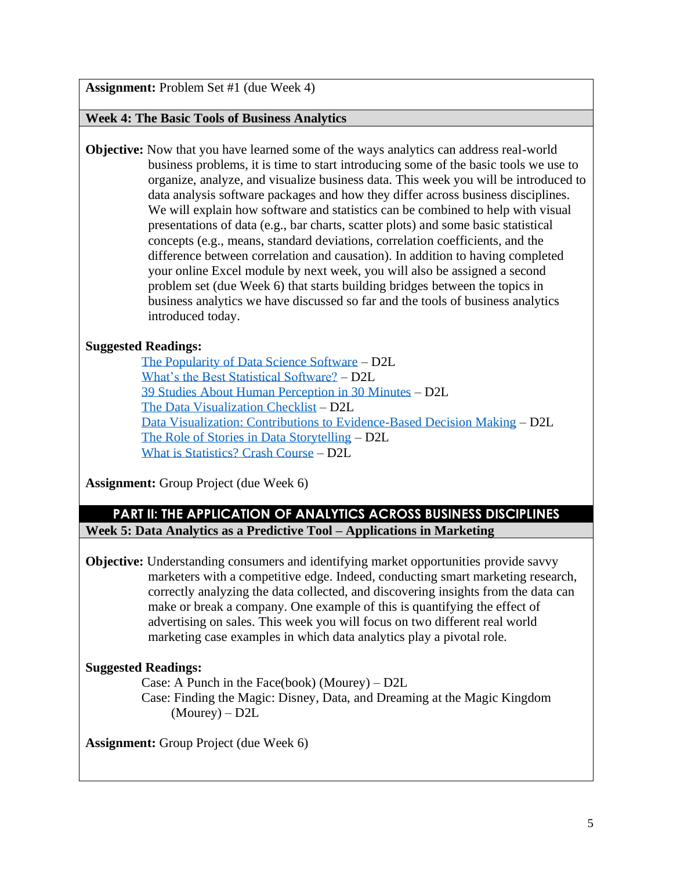**Assignment:** Problem Set #1 (due Week 4)

#### **Week 4: The Basic Tools of Business Analytics**

**Objective:** Now that you have learned some of the ways analytics can address real-world business problems, it is time to start introducing some of the basic tools we use to organize, analyze, and visualize business data. This week you will be introduced to data analysis software packages and how they differ across business disciplines. We will explain how software and statistics can be combined to help with visual presentations of data (e.g., bar charts, scatter plots) and some basic statistical concepts (e.g., means, standard deviations, correlation coefficients, and the difference between correlation and causation). In addition to having completed your online Excel module by next week, you will also be assigned a second problem set (due Week 6) that starts building bridges between the topics in business analytics we have discussed so far and the tools of business analytics introduced today.

## **Suggested Readings:**

[The Popularity of Data Science Software](http://r4stats.com/articles/popularity/) – D2L [What's the Best Statistical Software?](https://www.r-bloggers.com/whats-the-best-statistical-software-a-comparison-of-r-python-sas-spss-and-stata/) – D2L [39 Studies About Human Perception in 30 Minutes](https://medium.com/@kennelliott/39-studies-about-human-perception-in-30-minutes-4728f9e31a73) – D2L [The Data Visualization](https://depictdatastudio.com/checklist/) Checklist – D2L [Data Visualization: Contributions to Evidence-Based Decision Making](https://social.shorthand.com/SciDevNet/3geA2Kw4B5c/data-visualisation-contributions-to-evidence-based-decision-making) – D2L [The Role of Stories in Data Storytelling](http://www.anecdote.com/2016/08/stories-data-storytelling/) – D2L [What is Statistics? Crash Course](https://www.youtube.com/watch?v=sxQaBpKfDRk) – D2L

**Assignment:** Group Project (due Week 6)

# **PART II: THE APPLICATION OF ANALYTICS ACROSS BUSINESS DISCIPLINES Week 5: Data Analytics as a Predictive Tool – Applications in Marketing**

**Objective:** Understanding consumers and identifying market opportunities provide savvy marketers with a competitive edge. Indeed, conducting smart marketing research, correctly analyzing the data collected, and discovering insights from the data can make or break a company. One example of this is quantifying the effect of advertising on sales. This week you will focus on two different real world marketing case examples in which data analytics play a pivotal role.

## **Suggested Readings:**

Case: A Punch in the Face(book) (Mourey) – D2L Case: Finding the Magic: Disney, Data, and Dreaming at the Magic Kingdom (Mourey) – D2L

**Assignment:** Group Project (due Week 6)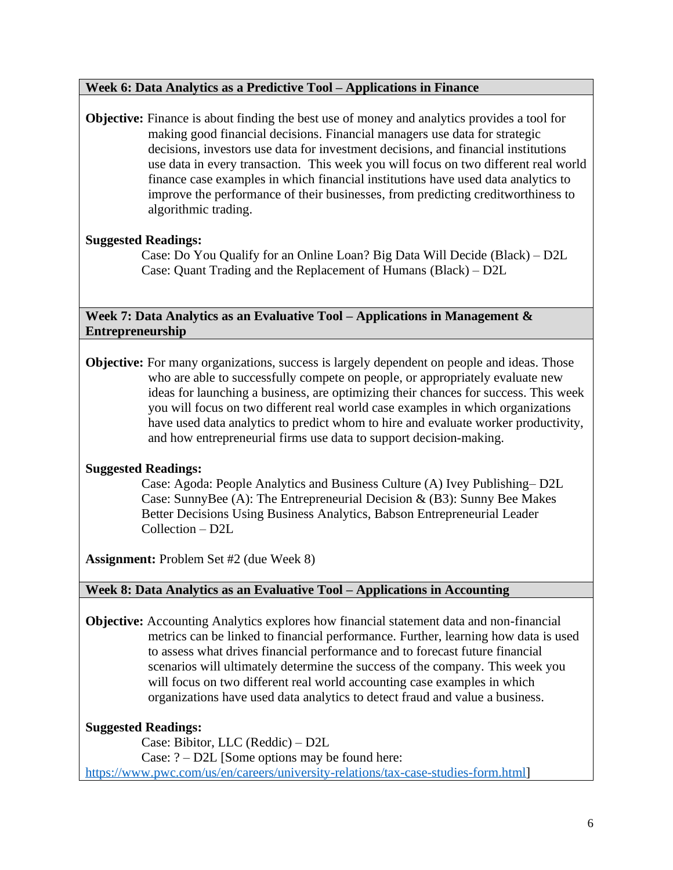#### **Week 6: Data Analytics as a Predictive Tool – Applications in Finance**

**Objective:** Finance is about finding the best use of money and analytics provides a tool for making good financial decisions. Financial managers use data for strategic decisions, investors use data for investment decisions, and financial institutions use data in every transaction. This week you will focus on two different real world finance case examples in which financial institutions have used data analytics to improve the performance of their businesses, from predicting creditworthiness to algorithmic trading.

## **Suggested Readings:**

Case: Do You Qualify for an Online Loan? Big Data Will Decide (Black) – D2L Case: Quant Trading and the Replacement of Humans (Black) – D2L

**Week 7: Data Analytics as an Evaluative Tool – Applications in Management & Entrepreneurship**

**Objective:** For many organizations, success is largely dependent on people and ideas. Those who are able to successfully compete on people, or appropriately evaluate new ideas for launching a business, are optimizing their chances for success. This week you will focus on two different real world case examples in which organizations have used data analytics to predict whom to hire and evaluate worker productivity, and how entrepreneurial firms use data to support decision-making.

## **Suggested Readings:**

 Case: Agoda: People Analytics and Business Culture (A) Ivey Publishing– D2L Case: SunnyBee (A): The Entrepreneurial Decision & (B3): Sunny Bee Makes Better Decisions Using Business Analytics, Babson Entrepreneurial Leader Collection – D2L

**Assignment:** Problem Set #2 (due Week 8)

## **Week 8: Data Analytics as an Evaluative Tool – Applications in Accounting**

**Objective:** Accounting Analytics explores how financial statement data and non-financial metrics can be linked to financial performance. Further, learning how data is used to assess what drives financial performance and to forecast future financial scenarios will ultimately determine the success of the company. This week you will focus on two different real world accounting case examples in which organizations have used data analytics to detect fraud and value a business.

# **Suggested Readings:**

Case: Bibitor, LLC (Reddic) – D2L Case: ? – D2L [Some options may be found here: [https://www.pwc.com/us/en/careers/university-relations/tax-case-studies-form.html\]](https://www.pwc.com/us/en/careers/university-relations/tax-case-studies-form.html)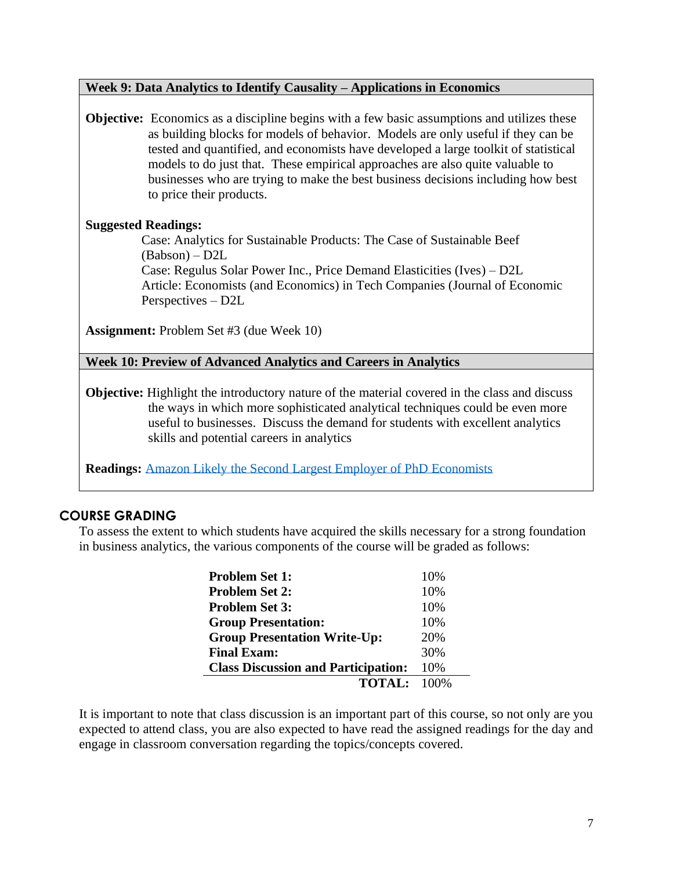#### **Week 9: Data Analytics to Identify Causality – Applications in Economics**

**Objective:** Economics as a discipline begins with a few basic assumptions and utilizes these as building blocks for models of behavior. Models are only useful if they can be tested and quantified, and economists have developed a large toolkit of statistical models to do just that. These empirical approaches are also quite valuable to businesses who are trying to make the best business decisions including how best to price their products.

## **Suggested Readings:**

Case: Analytics for Sustainable Products: The Case of Sustainable Beef (Babson) – D2L

 Case: Regulus Solar Power Inc., Price Demand Elasticities (Ives) – D2L Article: Economists (and Economics) in Tech Companies (Journal of Economic Perspectives – D2L

**Assignment:** Problem Set #3 (due Week 10)

**Week 10: Preview of Advanced Analytics and Careers in Analytics**

**Objective:** Highlight the introductory nature of the material covered in the class and discuss the ways in which more sophisticated analytical techniques could be even more useful to businesses. Discuss the demand for students with excellent analytics skills and potential careers in analytics

**Readings:** [Amazon Likely the Second Largest Employer of PhD Economists](https://www.techspot.com/news/79213-amazon-likely-second-largest-employer-phd-economists-behind.html)

# **COURSE GRADING**

To assess the extent to which students have acquired the skills necessary for a strong foundation in business analytics, the various components of the course will be graded as follows:

| <b>Problem Set 1:</b>                      | 10% |
|--------------------------------------------|-----|
| <b>Problem Set 2:</b>                      | 10% |
| <b>Problem Set 3:</b>                      | 10% |
| <b>Group Presentation:</b>                 | 10% |
| <b>Group Presentation Write-Up:</b>        | 20% |
| <b>Final Exam:</b>                         | 30% |
| <b>Class Discussion and Participation:</b> | 10% |
| <b>TOTAL:</b> 100%                         |     |

It is important to note that class discussion is an important part of this course, so not only are you expected to attend class, you are also expected to have read the assigned readings for the day and engage in classroom conversation regarding the topics/concepts covered.